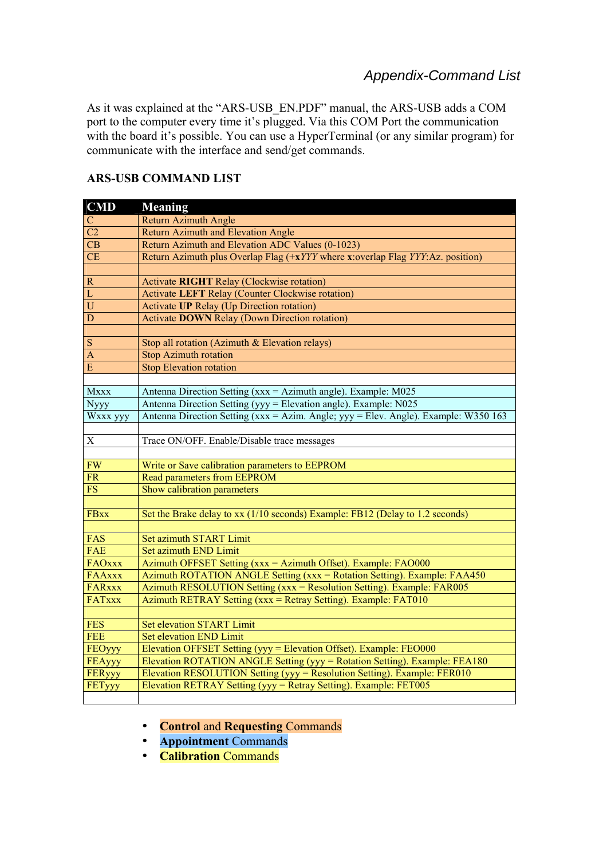As it was explained at the "ARS-USB\_EN.PDF" manual, the ARS-USB adds a COM port to the computer every time it's plugged. Via this COM Port the communication with the board it's possible. You can use a HyperTerminal (or any similar program) for communicate with the interface and send/get commands.

## **ARS-USB COMMAND LIST**

| <b>CMD</b>             | <b>Meaning</b>                                                                      |
|------------------------|-------------------------------------------------------------------------------------|
| $\mathbf C$            | Return Azimuth Angle                                                                |
| $\overline{C2}$        | <b>Return Azimuth and Elevation Angle</b>                                           |
| $\overline{\text{CB}}$ | Return Azimuth and Elevation ADC Values (0-1023)                                    |
| <b>CE</b>              | Return Azimuth plus Overlap Flag $(+xYYY)$ where x:overlap Flag YYY: Az. position)  |
|                        |                                                                                     |
| ${\bf R}$              | <b>Activate RIGHT Relay (Clockwise rotation)</b>                                    |
| $\mathbf{L}$           | <b>Activate LEFT Relay (Counter Clockwise rotation)</b>                             |
| $\overline{U}$         | Activate UP Relay (Up Direction rotation)                                           |
| $\mathbf D$            | <b>Activate DOWN Relay (Down Direction rotation)</b>                                |
|                        |                                                                                     |
| ${\bf S}$              | Stop all rotation (Azimuth & Elevation relays)                                      |
| $\overline{A}$         | <b>Stop Azimuth rotation</b>                                                        |
| E                      | <b>Stop Elevation rotation</b>                                                      |
|                        |                                                                                     |
| <b>Mxxx</b>            | Antenna Direction Setting ( $xxx = Azimuth$ angle). Example: M025                   |
| <b>Nyyy</b>            | Antenna Direction Setting (yyy = Elevation angle). Example: N025                    |
| Wxxx yyy               | Antenna Direction Setting (xxx = Azim. Angle; yyy = Elev. Angle). Example: W350 163 |
|                        |                                                                                     |
| $\mathbf X$            | Trace ON/OFF. Enable/Disable trace messages                                         |
|                        |                                                                                     |
| <b>FW</b>              | Write or Save calibration parameters to EEPROM                                      |
| <b>FR</b>              | Read parameters from EEPROM                                                         |
| ${\rm FS}$             | Show calibration parameters                                                         |
|                        |                                                                                     |
| <b>FBxx</b>            | Set the Brake delay to xx (1/10 seconds) Example: FB12 (Delay to 1.2 seconds)       |
|                        |                                                                                     |
| FAS                    | Set azimuth START Limit                                                             |
| FAE                    | Set azimuth END Limit                                                               |
| <b>FAOxxx</b>          | Azimuth OFFSET Setting (xxx = Azimuth Offset). Example: FAO000                      |
| <b>FAAxxx</b>          | Azimuth ROTATION ANGLE Setting (xxx = Rotation Setting). Example: FAA450            |
| <b>FARxxx</b>          | Azimuth RESOLUTION Setting (xxx = Resolution Setting). Example: FAR005              |
| FATxxx                 | Azimuth RETRAY Setting (xxx = Retray Setting). Example: FAT010                      |
|                        |                                                                                     |
| <b>FES</b>             | <b>Set elevation START Limit</b>                                                    |
| <b>FEE</b>             | <b>Set elevation END Limit</b>                                                      |
| FEOyyy                 | Elevation OFFSET Setting (yyy = Elevation Offset). Example: FEO000                  |
| FEAyyy                 | Elevation ROTATION ANGLE Setting (yyy = Rotation Setting). Example: FEA180          |
| FERyyy                 | Elevation RESOLUTION Setting (yyy = Resolution Setting). Example: FER010            |
| FETyyy                 | Elevation RETRAY Setting (yyy = Retray Setting). Example: FET005                    |
|                        |                                                                                     |

- **Control** and **Requesting** Commands
- **Appointment** Commands
- **Calibration** Commands